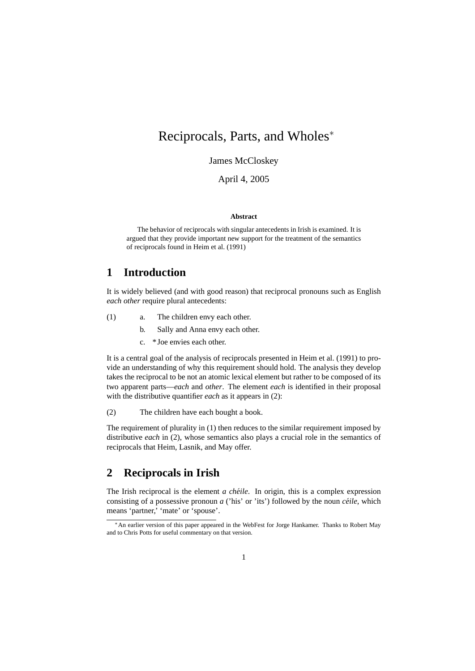# Reciprocals, Parts, and Wholes<sup>∗</sup>

James McCloskey

April 4, 2005

#### **Abstract**

The behavior of reciprocals with singular antecedents in Irish is examined. It is argued that they provide important new support for the treatment of the semantics of reciprocals found in Heim et al. (1991)

#### **1 Introduction**

It is widely believed (and with good reason) that reciprocal pronouns such as English *each other* require plural antecedents:

- (1) a. The children envy each other.
	- b. Sally and Anna envy each other.
	- c. \*Joe envies each other.

It is a central goal of the analysis of reciprocals presented in Heim et al. (1991) to provide an understanding of why this requirement should hold. The analysis they develop takes the reciprocal to be not an atomic lexical element but rather to be composed of its two apparent parts—*each* and *other*. The element *each* is identified in their proposal with the distributive quantifier *each* as it appears in (2):

(2) The children have each bought a book.

The requirement of plurality in (1) then reduces to the similar requirement imposed by distributive *each* in (2), whose semantics also plays a crucial role in the semantics of reciprocals that Heim, Lasnik, and May offer.

### **2 Reciprocals in Irish**

The Irish reciprocal is the element *a chéile*. In origin, this is a complex expression consisting of a possessive pronoun  $a$  ('his' or 'its') followed by the noun *céile*, which means 'partner,' 'mate' or 'spouse'.

<sup>∗</sup>An earlier version of this paper appeared in the WebFest for Jorge Hankamer. Thanks to Robert May and to Chris Potts for useful commentary on that version.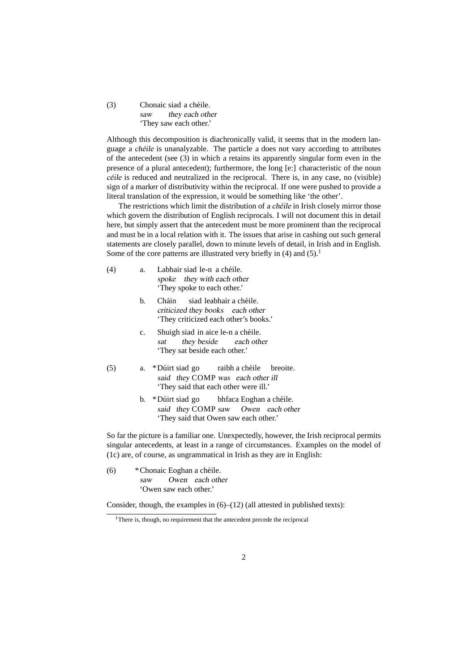(3) Chonaic siad a cheile. ´ saw they each other 'They saw each other.'

Although this decomposition is diachronically valid, it seems that in the modern language  $\alpha$  chéile is unanalyzable. The particle  $\alpha$  does not vary according to attributes of the antecedent (see (3) in which a retains its apparently singular form even in the presence of a plural antecedent); furthermore, the long [e:] characteristic of the noun  $c$  *céile* is reduced and neutralized in the reciprocal. There is, in any case, no (visible) sign of a marker of distributivity within the reciprocal. If one were pushed to provide a literal translation of the expression, it would be something like 'the other'.

The restrictions which limit the distribution of a chéile in Irish closely mirror those which govern the distribution of English reciprocals. I will not document this in detail here, but simply assert that the antecedent must be more prominent than the reciprocal and must be in a local relation with it. The issues that arise in cashing out such general statements are closely parallel, down to minute levels of detail, in Irish and in English. Some of the core patterns are illustrated very briefly in  $(4)$  and  $(5)$ .<sup>1</sup>

| (4) | Labhair siad le-n a chéile.<br>a.<br>spoke they with each other<br>They spoke to each other.' |                                                                                                                       |  |  |  |  |
|-----|-----------------------------------------------------------------------------------------------|-----------------------------------------------------------------------------------------------------------------------|--|--|--|--|
|     | b.                                                                                            | Cháin siad leabhair a chéile.<br>criticized they books each other<br>'They criticized each other's books.'            |  |  |  |  |
|     | c.                                                                                            | Shuigh siad in aice le-n a chéile.<br>they beside each other<br>sat<br>They sat beside each other.                    |  |  |  |  |
| (5) | a.                                                                                            | *Dúirt siad go raibh a chéile breoite.<br>said they COMP was each other ill<br>'They said that each other were ill.'  |  |  |  |  |
|     | b.                                                                                            | *Dúirt siad go bhfaca Eoghan a chéile.<br>said they COMP saw Owen each other<br>'They said that Owen saw each other.' |  |  |  |  |
|     |                                                                                               | So far the picture is a familiar one. Unexpectedly, however, the Irish reci                                           |  |  |  |  |

iprocal permits singular antecedents, at least in a range of circumstances. Examples on the model of (1c) are, of course, as ungrammatical in Irish as they are in English:

(6) \*Chonaic Eoghan a cheile. ´ saw Owen each other 'Owen saw each other.'

Consider, though, the examples in  $(6)$ – $(12)$  (all attested in published texts):

<sup>&</sup>lt;sup>1</sup>There is, though, no requirement that the antecedent precede the reciprocal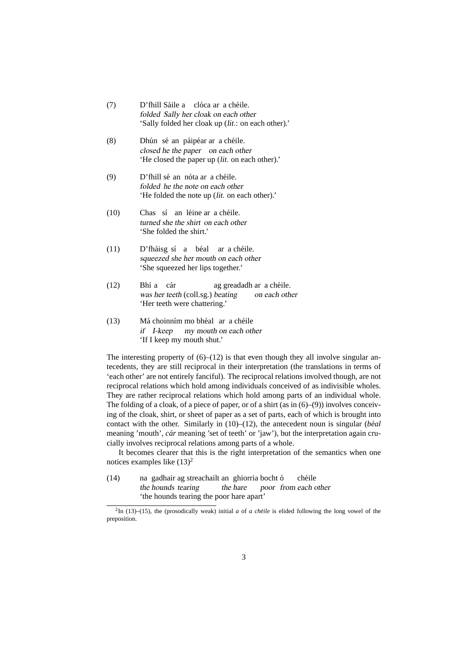| (7) | D'fhill Sáile a clóca ar a chéile.                 |
|-----|----------------------------------------------------|
|     | folded Sally her cloak on each other               |
|     | 'Sally folded her cloak up (lit.: on each other).' |

- (8) Dhún sé an páipéar ar a chéile. closed he the paper on each other 'He closed the paper up (lit. on each other).'
- (9) D'fhill sé an nóta ar a chéile. folded he the note on each other 'He folded the note up (lit. on each other).'
- (10) Chas sí an léine ar a chéile. turned she the shirt on each other 'She folded the shirt.'
- (11) D'fháisg sí a béal ar a chéile. squeezed she her mouth on each other 'She squeezed her lips together.'
- $(12)$ was her teeth (coll.sg.) beating a cár ag greadadh ar a cheile. ´ on each other 'Her teeth were chattering.'
- $(13)$ if I-keep my mouth on each other choinním mo bhéal ar a chéile 'If I keep my mouth shut.'

The interesting property of  $(6)$ – $(12)$  is that even though they all involve singular antecedents, they are still reciprocal in their interpretation (the translations in terms of 'each other' are not entirely fanciful). The reciprocal relations involved though, are not reciprocal relations which hold among individuals conceived of as indivisible wholes. They are rather reciprocal relations which hold among parts of an individual whole. The folding of a cloak, of a piece of paper, or of a shirt (as in (6)–(9)) involves conceiving of the cloak, shirt, or sheet of paper as a set of parts, each of which is brought into contact with the other. Similarly in  $(10)$ – $(12)$ , the antecedent noun is singular *(béal*) meaning 'mouth', *cár* meaning 'set of teeth' or 'jaw'), but the interpretation again crucially involves reciprocal relations among parts of a whole.

It becomes clearer that this is the right interpretation of the semantics when one notices examples like  $(13)^2$ 

 $(14)$ the hounds tearing gadhair ag streachailt an ghiorria bocht ó the hare poor from each other chéile 'the hounds tearing the poor hare apart'

 $^{2}$ In (13)–(15), the (prosodically weak) initial *a* of *a chéile* is elided following the long vowel of the preposition.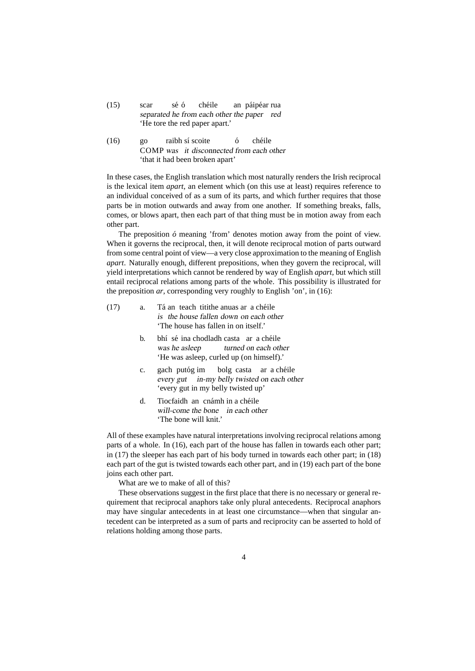| (15) | scar                           | sé ó | chéile                                     |  | an páipéar rua |  |  |  |
|------|--------------------------------|------|--------------------------------------------|--|----------------|--|--|--|
|      |                                |      | separated he from each other the paper red |  |                |  |  |  |
|      | 'He tore the red paper apart.' |      |                                            |  |                |  |  |  |

(16) go COMP was it disconnected from each other raibh sí scoite o´ chéile 'that it had been broken apart'

In these cases, the English translation which most naturally renders the Irish reciprocal is the lexical item *apart*, an element which (on this use at least) requires reference to an individual conceived of as a sum of its parts, and which further requires that those parts be in motion outwards and away from one another. If something breaks, falls, comes, or blows apart, then each part of that thing must be in motion away from each other part.

The preposition  $\acute{o}$  meaning 'from' denotes motion away from the point of view. When it governs the reciprocal, then, it will denote reciprocal motion of parts outward from some central point of view—a very close approximation to the meaning of English *apart*. Naturally enough, different prepositions, when they govern the reciprocal, will yield interpretations which cannot be rendered by way of English *apart*, but which still entail reciprocal relations among parts of the whole. This possibility is illustrated for the preposition *ar*, corresponding very roughly to English 'on', in (16):

- $(17)$  a. is the house fallen down on each other an teach titithe anuas ar a chéile 'The house has fallen in on itself.'
	- b. bhí sé ina chodladh casta ar a chéile was he asleep turned on each other 'He was asleep, curled up (on himself).'
	- c. gach putóg im every gut in-my belly twisted on each other bolg casta ar a cheile ´ 'every gut in my belly twisted up'
	- d. Tiocfaidh an cnámh in a chéile will-come the bone in each other 'The bone will knit.'

All of these examples have natural interpretations involving reciprocal relations among parts of a whole. In (16), each part of the house has fallen in towards each other part; in (17) the sleeper has each part of his body turned in towards each other part; in (18) each part of the gut is twisted towards each other part, and in (19) each part of the bone joins each other part.

What are we to make of all of this?

These observations suggest in the first place that there is no necessary or general requirement that reciprocal anaphors take only plural antecedents. Reciprocal anaphors may have singular antecedents in at least one circumstance—when that singular antecedent can be interpreted as a sum of parts and reciprocity can be asserted to hold of relations holding among those parts.